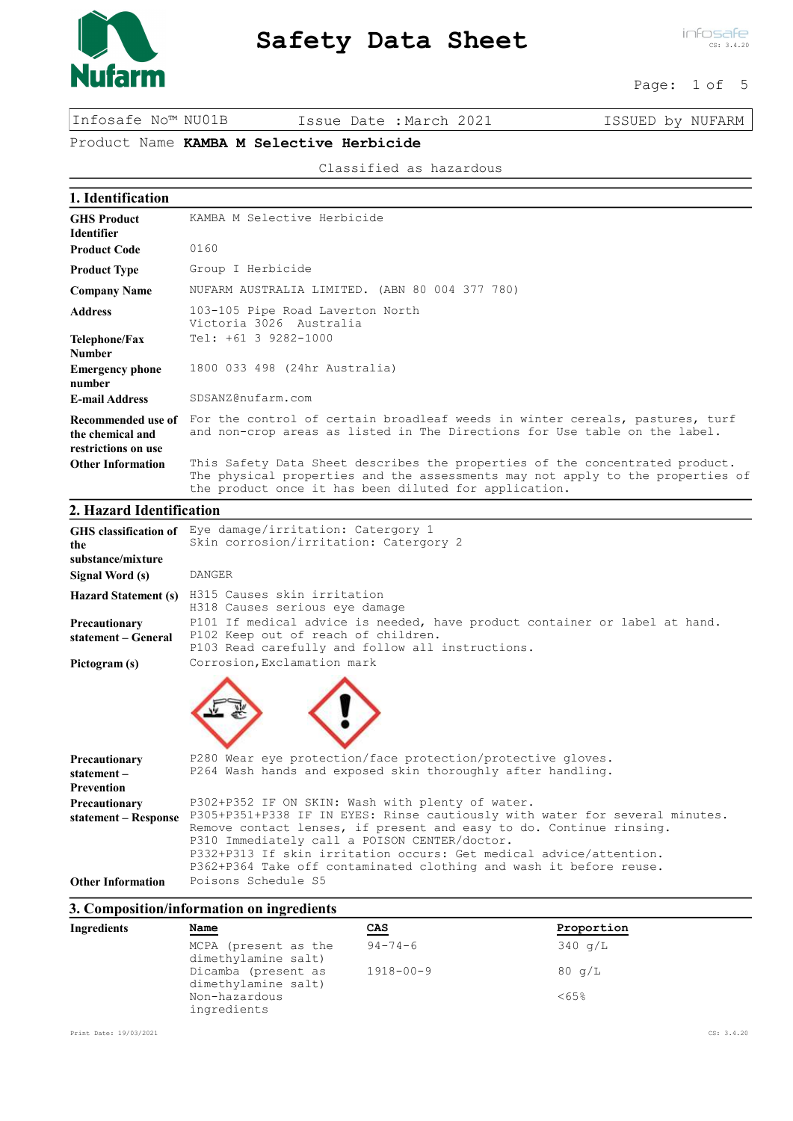

infosafe CS: 3.4.20

### Page: 1 of 5

Infosafe No™ NU01B Issue Date :March 2021 ISSUED by NUFARM

# Product Name KAMBA M Selective Herbicide

Classified as hazardous

| 1. Identification                                                                 |                                                                                                                                                                                                                         |
|-----------------------------------------------------------------------------------|-------------------------------------------------------------------------------------------------------------------------------------------------------------------------------------------------------------------------|
| <b>GHS Product</b><br><b>Identifier</b>                                           | KAMBA M Selective Herbicide                                                                                                                                                                                             |
| <b>Product Code</b>                                                               | 0160                                                                                                                                                                                                                    |
| <b>Product Type</b>                                                               | Group I Herbicide                                                                                                                                                                                                       |
| <b>Company Name</b>                                                               | NUFARM AUSTRALIA LIMITED. (ABN 80 004 377 780)                                                                                                                                                                          |
| <b>Address</b>                                                                    | 103-105 Pipe Road Laverton North<br>Victoria 3026 Australia                                                                                                                                                             |
| Telephone/Fax<br><b>Number</b>                                                    | Tel: +61 3 9282-1000                                                                                                                                                                                                    |
| <b>Emergency phone</b><br>number                                                  | 1800 033 498 (24hr Australia)                                                                                                                                                                                           |
| <b>E-mail Address</b>                                                             | SDSANZ@nufarm.com                                                                                                                                                                                                       |
| Recommended use of<br>the chemical and<br>restrictions on use                     | For the control of certain broadleaf weeds in winter cereals, pastures, turf<br>and non-crop areas as listed in The Directions for Use table on the label.                                                              |
| <b>Other Information</b>                                                          | This Safety Data Sheet describes the properties of the concentrated product.<br>The physical properties and the assessments may not apply to the properties of<br>the product once it has been diluted for application. |
| $\sim$ $\sim$<br>$\mathbf{1}$ $\mathbf{1}$ $\mathbf{1}$ $\mathbf{1}$ $\mathbf{1}$ | $\cdot$ $\cdot$                                                                                                                                                                                                         |

#### 2. Hazard Identification

| the<br>substance/mixture<br>Signal Word (s)      | GHS classification of Eye damage/irritation: Catergory 1<br>Skin corrosion/irritation: Catergory 2<br><b>DANGER</b>                                                                                                                                                                                                                                                                                 |
|--------------------------------------------------|-----------------------------------------------------------------------------------------------------------------------------------------------------------------------------------------------------------------------------------------------------------------------------------------------------------------------------------------------------------------------------------------------------|
| <b>Hazard Statement (s)</b>                      | H315 Causes skin irritation<br>H318 Causes serious eye damage                                                                                                                                                                                                                                                                                                                                       |
| Precautionary<br>statement – General             | P101 If medical advice is needed, have product container or label at hand.<br>P102 Keep out of reach of children.<br>P103 Read carefully and follow all instructions.                                                                                                                                                                                                                               |
| Pictogram (s)                                    | Corrosion, Exclamation mark                                                                                                                                                                                                                                                                                                                                                                         |
| Precautionary<br>statement-<br><b>Prevention</b> | P280 Wear eye protection/face protection/protective gloves.<br>P264 Wash hands and exposed skin thoroughly after handling.                                                                                                                                                                                                                                                                          |
| Precautionary<br>statement – Response            | P302+P352 IF ON SKIN: Wash with plenty of water.<br>P305+P351+P338 IF IN EYES: Rinse cautiously with water for several minutes.<br>Remove contact lenses, if present and easy to do. Continue rinsing.<br>P310 Immediately call a POISON CENTER/doctor.<br>P332+P313 If skin irritation occurs: Get medical advice/attention.<br>P362+P364 Take off contaminated clothing and wash it before reuse. |
| <b>Other Information</b>                         | Poisons Schedule S5                                                                                                                                                                                                                                                                                                                                                                                 |

#### 3. Composition/information on ingredients

| Name                         | CAS                                        | Proportion        |
|------------------------------|--------------------------------------------|-------------------|
| MCPA (present as the         | $94 - 74 - 6$                              | $340 \text{ q/L}$ |
| Dicamba (present as          | $1918 - 00 - 9$                            | $80 \text{ q/L}$  |
| Non-hazardous<br>ingredients |                                            | <65%              |
|                              | dimethylamine salt)<br>dimethylamine salt) |                   |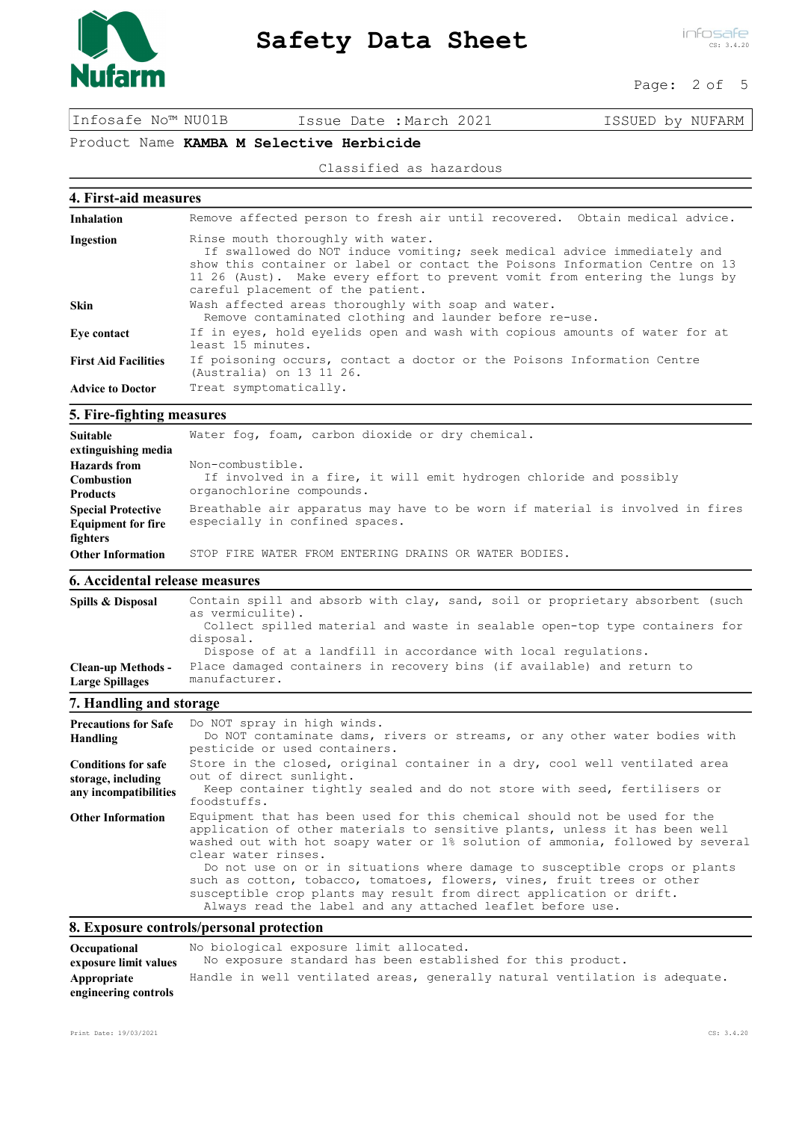

infosafe CS: 3.4.20

#### Page: 2 of 5

Infosafe No™ NU01B Issue Date :March 2021 ISSUED by NUFARM

# Product Name KAMBA M Selective Herbicide

#### Classified as hazardous

### 4. First-aid measures

| <b>Inhalation</b>           | Remove affected person to fresh air until recovered. Obtain medical advice.                                                                                                                                                                                                                                        |  |
|-----------------------------|--------------------------------------------------------------------------------------------------------------------------------------------------------------------------------------------------------------------------------------------------------------------------------------------------------------------|--|
| Ingestion                   | Rinse mouth thoroughly with water.<br>If swallowed do NOT induce vomiting; seek medical advice immediately and<br>show this container or label or contact the Poisons Information Centre on 13<br>11 26 (Aust). Make every effort to prevent vomit from entering the lungs by<br>careful placement of the patient. |  |
| <b>Skin</b>                 | Wash affected areas thoroughly with soap and water.<br>Remove contaminated clothing and launder before re-use.                                                                                                                                                                                                     |  |
| Eye contact                 | If in eyes, hold eyelids open and wash with copious amounts of water for at<br>least 15 minutes.                                                                                                                                                                                                                   |  |
| <b>First Aid Facilities</b> | If poisoning occurs, contact a doctor or the Poisons Information Centre<br>(Australia) on 13 11 26.                                                                                                                                                                                                                |  |
| <b>Advice to Doctor</b>     | Treat symptomatically.                                                                                                                                                                                                                                                                                             |  |

## 5. Fire-fighting measures

| <b>Suitable</b><br>extinguishing media                                                         | Water fog, foam, carbon dioxide or dry chemical.                                                                                                                         |
|------------------------------------------------------------------------------------------------|--------------------------------------------------------------------------------------------------------------------------------------------------------------------------|
| <b>Hazards</b> from<br><b>Combustion</b><br><b>Products</b>                                    | Non-combustible.<br>If involved in a fire, it will emit hydrogen chloride and possibly<br>organochlorine compounds.                                                      |
| <b>Special Protective</b><br><b>Equipment for fire</b><br>fighters<br><b>Other Information</b> | Breathable air apparatus may have to be worn if material is involved in fires<br>especially in confined spaces.<br>STOP FIRE WATER FROM ENTERING DRAINS OR WATER BODIES. |

# 6. Accidental release measures

| Spills & Disposal                                   | Contain spill and absorb with clay, sand, soil or proprietary absorbent (such<br>as vermiculite).<br>Collect spilled material and waste in sealable open-top type containers for<br>disposal. |
|-----------------------------------------------------|-----------------------------------------------------------------------------------------------------------------------------------------------------------------------------------------------|
| <b>Clean-up Methods -</b><br><b>Large Spillages</b> | Dispose of at a landfill in accordance with local requlations.<br>Place damaged containers in recovery bins (if available) and return to<br>manufacturer.                                     |
|                                                     |                                                                                                                                                                                               |

## 7. Handling and storage

| <b>Precautions for Safe</b><br>Handling                                   | Do NOT spray in high winds.<br>Do NOT contaminate dams, rivers or streams, or any other water bodies with<br>pesticide or used containers.                                                                                                                                                                                                                                                                                                                                                                                                                       |
|---------------------------------------------------------------------------|------------------------------------------------------------------------------------------------------------------------------------------------------------------------------------------------------------------------------------------------------------------------------------------------------------------------------------------------------------------------------------------------------------------------------------------------------------------------------------------------------------------------------------------------------------------|
| <b>Conditions for safe</b><br>storage, including<br>any incompatibilities | Store in the closed, original container in a dry, cool well ventilated area<br>out of direct sunlight.<br>Keep container tightly sealed and do not store with seed, fertilisers or<br>foodstuffs.                                                                                                                                                                                                                                                                                                                                                                |
| <b>Other Information</b>                                                  | Equipment that has been used for this chemical should not be used for the<br>application of other materials to sensitive plants, unless it has been well<br>washed out with hot soapy water or 1% solution of ammonia, followed by several<br>clear water rinses.<br>Do not use on or in situations where damage to susceptible crops or plants<br>such as cotton, tobacco, tomatoes, flowers, vines, fruit trees or other<br>susceptible crop plants may result from direct application or drift.<br>Always read the label and any attached leaflet before use. |

# 8. Exposure controls/personal protection

| Occupational          | No biological exposure limit allocated.                                     |  |
|-----------------------|-----------------------------------------------------------------------------|--|
| exposure limit values | No exposure standard has been established for this product.                 |  |
| Appropriate           | Handle in well ventilated areas, generally natural ventilation is adequate. |  |
| engineering controls  |                                                                             |  |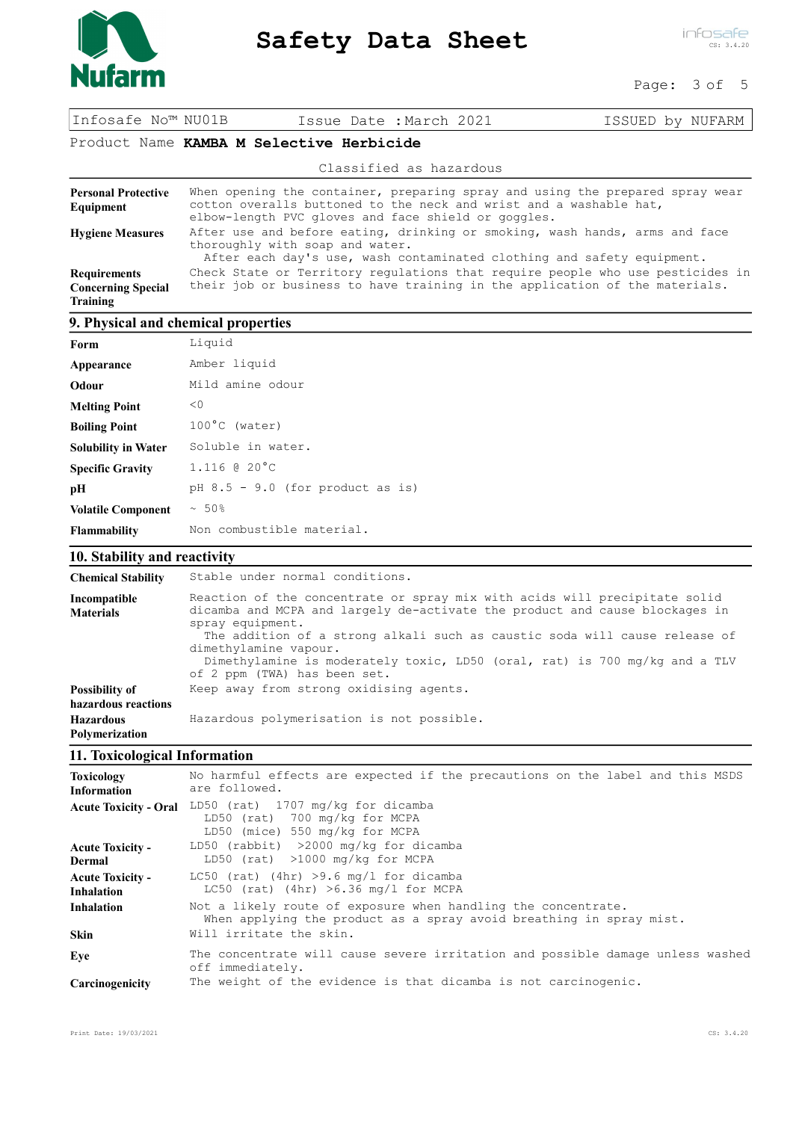

infosafe CS: 3.4.20

#### Page: 3 of 5

Infosafe No™ NU01B Issue Date :March 2021 ISSUED by NUFARM

#### Product Name KAMBA M Selective Herbicide

|                                                                     | Classified as hazardous                                                                                                                                                                                    |  |
|---------------------------------------------------------------------|------------------------------------------------------------------------------------------------------------------------------------------------------------------------------------------------------------|--|
| <b>Personal Protective</b><br>Equipment                             | When opening the container, preparing spray and using the prepared spray wear<br>cotton overalls buttoned to the neck and wrist and a washable hat,<br>elbow-length PVC gloves and face shield or goggles. |  |
| <b>Hygiene Measures</b>                                             | After use and before eating, drinking or smoking, wash hands, arms and face<br>thoroughly with soap and water.<br>After each day's use, wash contaminated clothing and safety equipment.                   |  |
| <b>Requirements</b><br><b>Concerning Special</b><br><b>Training</b> | Check State or Territory regulations that require people who use pesticides in<br>their job or business to have training in the application of the materials.                                              |  |
| 9. Physical and chemical properties                                 |                                                                                                                                                                                                            |  |

| Form                       | Liquid                             |
|----------------------------|------------------------------------|
| Appearance                 | Amber liquid                       |
| Odour                      | Mild amine odour                   |
| <b>Melting Point</b>       | < 0                                |
| <b>Boiling Point</b>       | $100^{\circ}$ C (water)            |
| <b>Solubility in Water</b> | Soluble in water.                  |
| <b>Specific Gravity</b>    | $1.116$ @ 20 $^{\circ}$ C          |
| pН                         | pH $8.5 - 9.0$ (for product as is) |
| <b>Volatile Component</b>  | $~\sim~50\%$                       |
| <b>Flammability</b>        | Non combustible material.          |

## 10. Stability and reactivity

| <b>Chemical Stability</b>                 | Stable under normal conditions.                                                                                                                                                                                                                                                                                                                                                                    |  |
|-------------------------------------------|----------------------------------------------------------------------------------------------------------------------------------------------------------------------------------------------------------------------------------------------------------------------------------------------------------------------------------------------------------------------------------------------------|--|
| Incompatible<br><b>Materials</b>          | Reaction of the concentrate or spray mix with acids will precipitate solid<br>dicamba and MCPA and largely de-activate the product and cause blockages in<br>spray equipment.<br>The addition of a strong alkali such as caustic soda will cause release of<br>dimethylamine vapour.<br>Dimethylamine is moderately toxic, LD50 (oral, rat) is 700 mg/kg and a TLV<br>of 2 ppm (TWA) has been set. |  |
| Possibility of<br>hazardous reactions     | Keep away from strong oxidising agents.                                                                                                                                                                                                                                                                                                                                                            |  |
| <b>Hazardous</b><br><b>Polymerization</b> | Hazardous polymerisation is not possible.                                                                                                                                                                                                                                                                                                                                                          |  |

## 11. Toxicological Information

| <b>Toxicology</b><br><b>Information</b>      | No harmful effects are expected if the precautions on the label and this MSDS<br>are followed.                                       |
|----------------------------------------------|--------------------------------------------------------------------------------------------------------------------------------------|
| <b>Acute Toxicity - Oral</b>                 | LD50 (rat) 1707 mg/kg for dicamba<br>LD50 (rat) 700 mg/kg for MCPA<br>LD50 (mice) 550 mg/kg for MCPA                                 |
| <b>Acute Toxicity -</b><br>Dermal            | LD50 (rabbit) $>2000$ mg/kg for dicamba<br>LD50 (rat) >1000 mg/kg for MCPA                                                           |
| <b>Acute Toxicity -</b><br><b>Inhalation</b> | LC50 (rat) (4hr) >9.6 mg/l for dicamba<br>LC50 (rat) (4hr) $>6.36$ mg/l for MCPA                                                     |
| <b>Inhalation</b>                            | Not a likely route of exposure when handling the concentrate.<br>When applying the product as a spray avoid breathing in spray mist. |
| <b>Skin</b>                                  | Will irritate the skin.                                                                                                              |
| Eve                                          | The concentrate will cause severe irritation and possible damage unless washed<br>off immediately.                                   |
| Carcinogenicity                              | The weight of the evidence is that dicamba is not carcinogenic.                                                                      |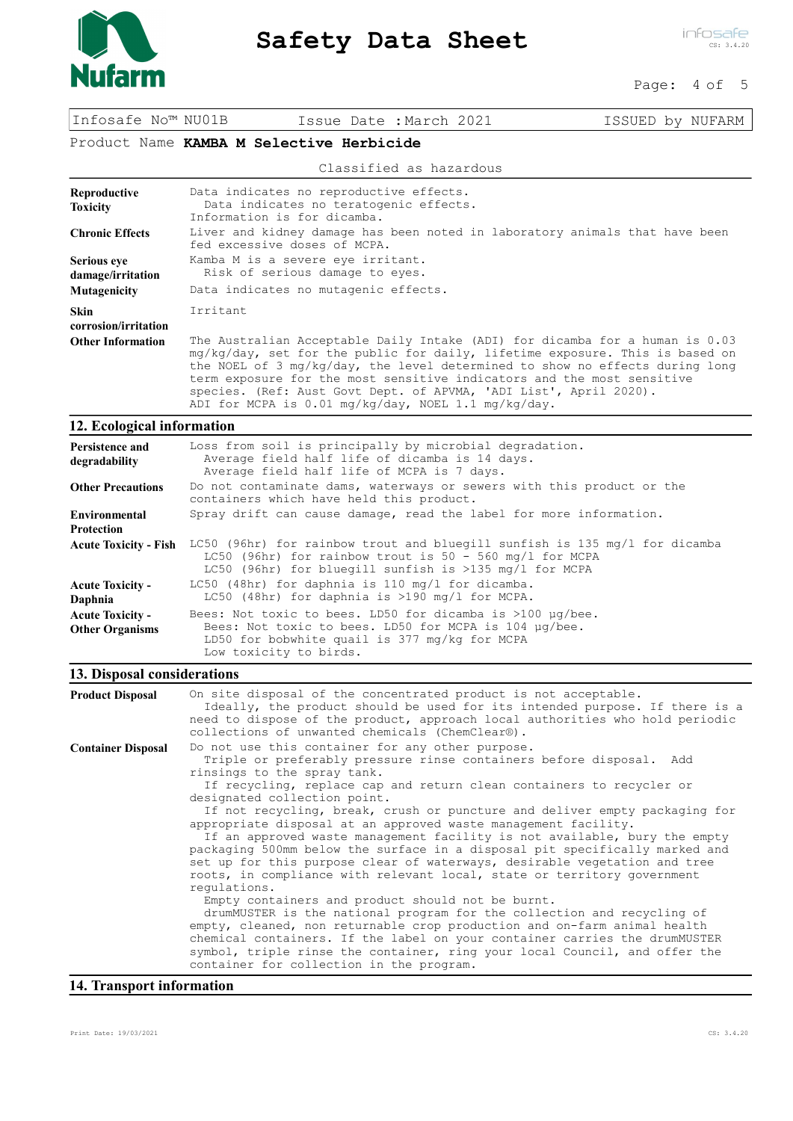

## Page: 4 of 5

Infosafe No™ NU01B Issue Date :March 2021 ISSUED by NUFARM

# Product Name KAMBA M Selective Herbicide

#### Classified as hazardous

| Reproductive<br><b>Toxicity</b>         | Data indicates no reproductive effects.<br>Data indicates no teratogenic effects.<br>Information is for dicamba.                                                                                                                                                                                                                                                                            |
|-----------------------------------------|---------------------------------------------------------------------------------------------------------------------------------------------------------------------------------------------------------------------------------------------------------------------------------------------------------------------------------------------------------------------------------------------|
| <b>Chronic Effects</b>                  | Liver and kidney damage has been noted in laboratory animals that have been<br>fed excessive doses of MCPA.                                                                                                                                                                                                                                                                                 |
| <b>Serious eye</b><br>damage/irritation | Kamba M is a severe eye irritant.<br>Risk of serious damage to eyes.                                                                                                                                                                                                                                                                                                                        |
| Mutagenicity                            | Data indicates no mutagenic effects.                                                                                                                                                                                                                                                                                                                                                        |
| <b>Skin</b><br>corrosion/irritation     | Irritant                                                                                                                                                                                                                                                                                                                                                                                    |
| <b>Other Information</b>                | The Australian Acceptable Daily Intake (ADI) for dicamba for a human is 0.03<br>mg/kg/day, set for the public for daily, lifetime exposure. This is based on<br>the NOEL of 3 mg/kg/day, the level determined to show no effects during long<br>term exposure for the most sensitive indicators and the most sensitive<br>species. (Ref: Aust Govt Dept. of APVMA, 'ADI List', April 2020). |

ADI for MCPA is 0.01 mg/kg/day, NOEL 1.1 mg/kg/day.

## 12. Ecological information

| Persistence and<br>degradability                  | Loss from soil is principally by microbial degradation.<br>Average field half life of dicamba is 14 days.<br>Average field half life of MCPA is 7 days.                                                                   |
|---------------------------------------------------|---------------------------------------------------------------------------------------------------------------------------------------------------------------------------------------------------------------------------|
| <b>Other Precautions</b>                          | Do not contaminate dams, waterways or sewers with this product or the<br>containers which have held this product.                                                                                                         |
| Environmental<br><b>Protection</b>                | Spray drift can cause damage, read the label for more information.                                                                                                                                                        |
|                                                   | Acute Toxicity - Fish LC50 (96hr) for rainbow trout and bluegill sunfish is 135 mg/l for dicamba<br>LC50 (96hr) for rainbow trout is $50 - 560$ mg/l for MCPA<br>LC50 (96hr) for bluegill sunfish is $>135$ mg/l for MCPA |
| <b>Acute Toxicity -</b><br>Daphnia                | LC50 (48hr) for daphnia is 110 $mq/l$ for dicamba.<br>LC50 (48hr) for daphnia is $>190$ mg/l for MCPA.                                                                                                                    |
| <b>Acute Toxicity -</b><br><b>Other Organisms</b> | Bees: Not toxic to bees. LD50 for dicamba is $>100$ $\mu q$ /bee.<br>Bees: Not toxic to bees. LD50 for MCPA is 104 µq/bee.<br>LD50 for bobwhite quail is 377 mg/kg for MCPA<br>Low toxicity to birds.                     |

# 13. Disposal considerations

| <b>Product Disposal</b>   | On site disposal of the concentrated product is not acceptable.<br>Ideally, the product should be used for its intended purpose. If there is a<br>need to dispose of the product, approach local authorities who hold periodic<br>collections of unwanted chemicals (ChemClear®).                                                                                                                                                                                                                                                                                                                                                                                                                                                                                                                                                                                                                                                                                                                                                                                                                                                                                     |
|---------------------------|-----------------------------------------------------------------------------------------------------------------------------------------------------------------------------------------------------------------------------------------------------------------------------------------------------------------------------------------------------------------------------------------------------------------------------------------------------------------------------------------------------------------------------------------------------------------------------------------------------------------------------------------------------------------------------------------------------------------------------------------------------------------------------------------------------------------------------------------------------------------------------------------------------------------------------------------------------------------------------------------------------------------------------------------------------------------------------------------------------------------------------------------------------------------------|
| <b>Container Disposal</b> | Do not use this container for any other purpose.<br>Triple or preferably pressure rinse containers before disposal. Add<br>rinsings to the spray tank.<br>If recycling, replace cap and return clean containers to recycler or<br>designated collection point.<br>If not recycling, break, crush or puncture and deliver empty packaging for<br>appropriate disposal at an approved waste management facility.<br>If an approved waste management facility is not available, bury the empty<br>packaging 500mm below the surface in a disposal pit specifically marked and<br>set up for this purpose clear of waterways, desirable vegetation and tree<br>roots, in compliance with relevant local, state or territory government<br>requlations.<br>Empty containers and product should not be burnt.<br>drumMUSTER is the national program for the collection and recycling of<br>empty, cleaned, non returnable crop production and on-farm animal health<br>chemical containers. If the label on your container carries the drumMUSTER<br>symbol, triple rinse the container, ring your local Council, and offer the<br>container for collection in the program. |

## 14. Transport information